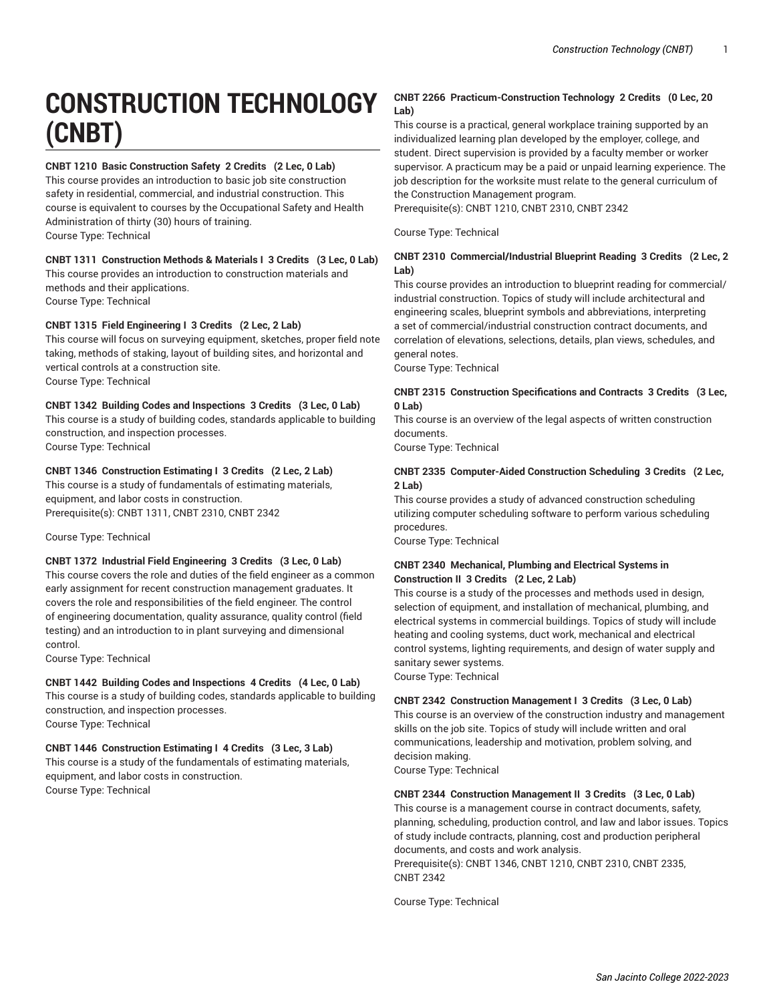# **CONSTRUCTION TECHNOLOGY (CNBT)**

# **CNBT 1210 Basic Construction Safety 2 Credits (2 Lec, 0 Lab)**

This course provides an introduction to basic job site construction safety in residential, commercial, and industrial construction. This course is equivalent to courses by the Occupational Safety and Health Administration of thirty (30) hours of training. Course Type: Technical

# **CNBT 1311 Construction Methods & Materials I 3 Credits (3 Lec, 0 Lab)**

This course provides an introduction to construction materials and methods and their applications. Course Type: Technical

# **CNBT 1315 Field Engineering I 3 Credits (2 Lec, 2 Lab)**

This course will focus on surveying equipment, sketches, proper field note taking, methods of staking, layout of building sites, and horizontal and vertical controls at a construction site. Course Type: Technical

# **CNBT 1342 Building Codes and Inspections 3 Credits (3 Lec, 0 Lab)**

This course is a study of building codes, standards applicable to building construction, and inspection processes. Course Type: Technical

# **CNBT 1346 Construction Estimating I 3 Credits (2 Lec, 2 Lab)**

This course is a study of fundamentals of estimating materials, equipment, and labor costs in construction. Prerequisite(s): CNBT 1311, CNBT 2310, CNBT 2342

Course Type: Technical

# **CNBT 1372 Industrial Field Engineering 3 Credits (3 Lec, 0 Lab)**

This course covers the role and duties of the field engineer as a common early assignment for recent construction management graduates. It covers the role and responsibilities of the field engineer. The control of engineering documentation, quality assurance, quality control (field testing) and an introduction to in plant surveying and dimensional control.

Course Type: Technical

#### **CNBT 1442 Building Codes and Inspections 4 Credits (4 Lec, 0 Lab)** This course is a study of building codes, standards applicable to building construction, and inspection processes. Course Type: Technical

#### **CNBT 1446 Construction Estimating I 4 Credits (3 Lec, 3 Lab)** This course is a study of the fundamentals of estimating materials, equipment, and labor costs in construction. Course Type: Technical

# **CNBT 2266 Practicum-Construction Technology 2 Credits (0 Lec, 20 Lab)**

This course is a practical, general workplace training supported by an individualized learning plan developed by the employer, college, and student. Direct supervision is provided by a faculty member or worker supervisor. A practicum may be a paid or unpaid learning experience. The job description for the worksite must relate to the general curriculum of the Construction Management program.

Prerequisite(s): CNBT 1210, CNBT 2310, CNBT 2342

Course Type: Technical

# **CNBT 2310 Commercial/Industrial Blueprint Reading 3 Credits (2 Lec, 2 Lab)**

This course provides an introduction to blueprint reading for commercial/ industrial construction. Topics of study will include architectural and engineering scales, blueprint symbols and abbreviations, interpreting a set of commercial/industrial construction contract documents, and correlation of elevations, selections, details, plan views, schedules, and general notes.

Course Type: Technical

#### **CNBT 2315 Construction Specifications and Contracts 3 Credits (3 Lec, 0 Lab)**

This course is an overview of the legal aspects of written construction documents.

Course Type: Technical

# **CNBT 2335 Computer-Aided Construction Scheduling 3 Credits (2 Lec, 2 Lab)**

This course provides a study of advanced construction scheduling utilizing computer scheduling software to perform various scheduling procedures.

Course Type: Technical

#### **CNBT 2340 Mechanical, Plumbing and Electrical Systems in Construction II 3 Credits (2 Lec, 2 Lab)**

This course is a study of the processes and methods used in design, selection of equipment, and installation of mechanical, plumbing, and electrical systems in commercial buildings. Topics of study will include heating and cooling systems, duct work, mechanical and electrical control systems, lighting requirements, and design of water supply and sanitary sewer systems.

Course Type: Technical

# **CNBT 2342 Construction Management I 3 Credits (3 Lec, 0 Lab)**

This course is an overview of the construction industry and management skills on the job site. Topics of study will include written and oral communications, leadership and motivation, problem solving, and decision making.

Course Type: Technical

# **CNBT 2344 Construction Management II 3 Credits (3 Lec, 0 Lab)**

This course is a management course in contract documents, safety, planning, scheduling, production control, and law and labor issues. Topics of study include contracts, planning, cost and production peripheral documents, and costs and work analysis. Prerequisite(s): CNBT 1346, CNBT 1210, CNBT 2310, CNBT 2335, CNBT 2342

Course Type: Technical